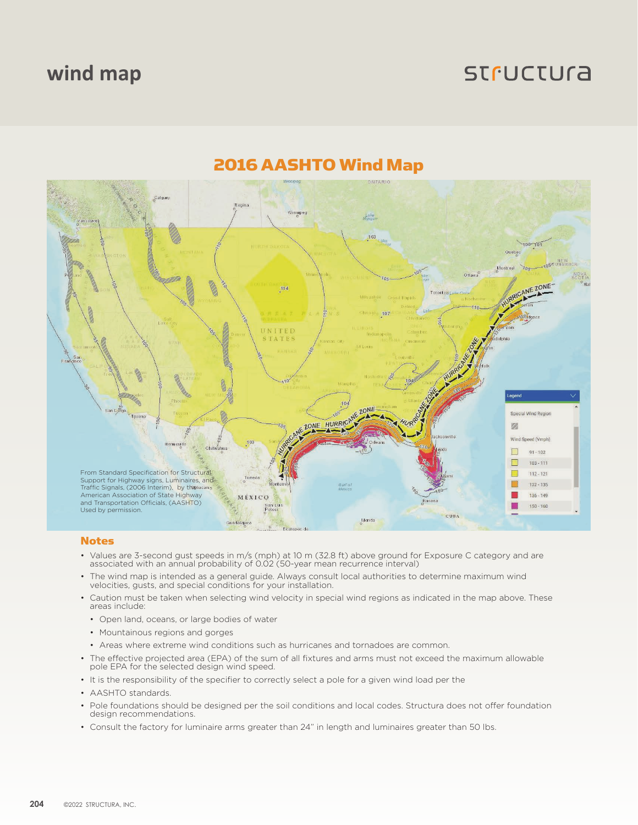### **wind map**

## **STFUCTUra**



### 2016 AASHTO Wind Map

#### Notes

- Values are 3-second gust speeds in m/s (mph) at 10 m (32.8 ft) above ground for Exposure C category and are associated with an annual probability of 0.02 (50-year mean recurrence interval)
- The wind map is intended as a general guide. Always consult local authorities to determine maximum wind velocities, gusts, and special conditions for your installation.
- Caution must be taken when selecting wind velocity in special wind regions as indicated in the map above. These areas include:
	- Open land, oceans, or large bodies of water
	- Mountainous regions and gorges
	- Areas where extreme wind conditions such as hurricanes and tornadoes are common.
- The effective projected area (EPA) of the sum of all fixtures and arms must not exceed the maximum allowable pole EPA for the selected design wind speed.
- It is the responsibility of the specifier to correctly select a pole for a given wind load per the
- AASHTO standards.
- Pole foundations should be designed per the soil conditions and local codes. Structura does not offer foundation design recommendations.
- Consult the factory for luminaire arms greater than 24" in length and luminaires greater than 50 lbs.